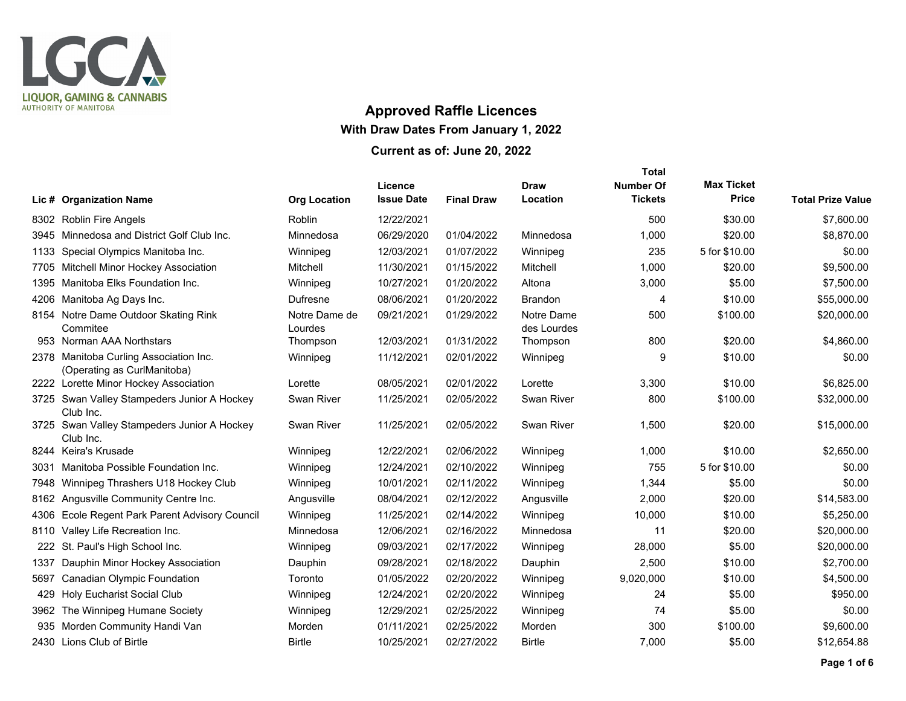

## **Approved Raffle Licences With Draw Dates From January 1, 2022 Current as of: June 20, 2022**

|      |                                                                       |                          |                              |                   |                           | <b>Total</b>                       |                                   |                          |
|------|-----------------------------------------------------------------------|--------------------------|------------------------------|-------------------|---------------------------|------------------------------------|-----------------------------------|--------------------------|
|      | Lic # Organization Name                                               | <b>Org Location</b>      | Licence<br><b>Issue Date</b> | <b>Final Draw</b> | <b>Draw</b><br>Location   | <b>Number Of</b><br><b>Tickets</b> | <b>Max Ticket</b><br><b>Price</b> | <b>Total Prize Value</b> |
|      | 8302 Roblin Fire Angels                                               | <b>Roblin</b>            | 12/22/2021                   |                   |                           | 500                                | \$30.00                           | \$7,600.00               |
|      | 3945 Minnedosa and District Golf Club Inc.                            | Minnedosa                | 06/29/2020                   | 01/04/2022        | Minnedosa                 | 1,000                              | \$20.00                           | \$8,870.00               |
| 1133 | Special Olympics Manitoba Inc.                                        | Winnipeg                 | 12/03/2021                   | 01/07/2022        | Winnipeg                  | 235                                | 5 for \$10.00                     | \$0.00                   |
| 7705 | Mitchell Minor Hockey Association                                     | Mitchell                 | 11/30/2021                   | 01/15/2022        | Mitchell                  | 1,000                              | \$20.00                           | \$9,500.00               |
| 1395 | Manitoba Elks Foundation Inc.                                         | Winnipeg                 | 10/27/2021                   | 01/20/2022        | Altona                    | 3,000                              | \$5.00                            | \$7,500.00               |
|      | 4206 Manitoba Ag Days Inc.                                            | <b>Dufresne</b>          | 08/06/2021                   | 01/20/2022        | Brandon                   | 4                                  | \$10.00                           | \$55,000.00              |
|      | 8154 Notre Dame Outdoor Skating Rink<br>Commitee                      | Notre Dame de<br>Lourdes | 09/21/2021                   | 01/29/2022        | Notre Dame<br>des Lourdes | 500                                | \$100.00                          | \$20,000.00              |
|      | 953 Norman AAA Northstars                                             | Thompson                 | 12/03/2021                   | 01/31/2022        | Thompson                  | 800                                | \$20.00                           | \$4,860.00               |
|      | 2378 Manitoba Curling Association Inc.<br>(Operating as CurlManitoba) | Winnipeg                 | 11/12/2021                   | 02/01/2022        | Winnipeg                  | 9                                  | \$10.00                           | \$0.00                   |
|      | 2222 Lorette Minor Hockey Association                                 | Lorette                  | 08/05/2021                   | 02/01/2022        | Lorette                   | 3,300                              | \$10.00                           | \$6,825.00               |
|      | 3725 Swan Valley Stampeders Junior A Hockey<br>Club Inc.              | Swan River               | 11/25/2021                   | 02/05/2022        | Swan River                | 800                                | \$100.00                          | \$32,000.00              |
|      | 3725 Swan Valley Stampeders Junior A Hockey<br>Club Inc.              | Swan River               | 11/25/2021                   | 02/05/2022        | Swan River                | 1,500                              | \$20.00                           | \$15,000.00              |
|      | 8244 Keira's Krusade                                                  | Winnipeg                 | 12/22/2021                   | 02/06/2022        | Winnipeg                  | 1,000                              | \$10.00                           | \$2,650.00               |
| 3031 | Manitoba Possible Foundation Inc.                                     | Winnipeg                 | 12/24/2021                   | 02/10/2022        | Winnipeg                  | 755                                | 5 for \$10.00                     | \$0.00                   |
| 7948 | Winnipeg Thrashers U18 Hockey Club                                    | Winnipeg                 | 10/01/2021                   | 02/11/2022        | Winnipeg                  | 1,344                              | \$5.00                            | \$0.00                   |
| 8162 | Angusville Community Centre Inc.                                      | Angusville               | 08/04/2021                   | 02/12/2022        | Angusville                | 2,000                              | \$20.00                           | \$14,583.00              |
| 4306 | Ecole Regent Park Parent Advisory Council                             | Winnipeg                 | 11/25/2021                   | 02/14/2022        | Winnipeg                  | 10,000                             | \$10.00                           | \$5,250.00               |
| 8110 | Valley Life Recreation Inc.                                           | Minnedosa                | 12/06/2021                   | 02/16/2022        | Minnedosa                 | 11                                 | \$20.00                           | \$20,000.00              |
| 222  | St. Paul's High School Inc.                                           | Winnipeg                 | 09/03/2021                   | 02/17/2022        | Winnipeg                  | 28,000                             | \$5.00                            | \$20,000.00              |
| 1337 | Dauphin Minor Hockey Association                                      | Dauphin                  | 09/28/2021                   | 02/18/2022        | Dauphin                   | 2,500                              | \$10.00                           | \$2,700.00               |
| 5697 | Canadian Olympic Foundation                                           | Toronto                  | 01/05/2022                   | 02/20/2022        | Winnipeg                  | 9,020,000                          | \$10.00                           | \$4,500.00               |
| 429  | <b>Holy Eucharist Social Club</b>                                     | Winnipeg                 | 12/24/2021                   | 02/20/2022        | Winnipeg                  | 24                                 | \$5.00                            | \$950.00                 |
| 3962 | The Winnipeg Humane Society                                           | Winnipeg                 | 12/29/2021                   | 02/25/2022        | Winnipeg                  | 74                                 | \$5.00                            | \$0.00                   |
| 935  | Morden Community Handi Van                                            | Morden                   | 01/11/2021                   | 02/25/2022        | Morden                    | 300                                | \$100.00                          | \$9,600.00               |
|      | 2430 Lions Club of Birtle                                             | <b>Birtle</b>            | 10/25/2021                   | 02/27/2022        | <b>Birtle</b>             | 7,000                              | \$5.00                            | \$12,654.88              |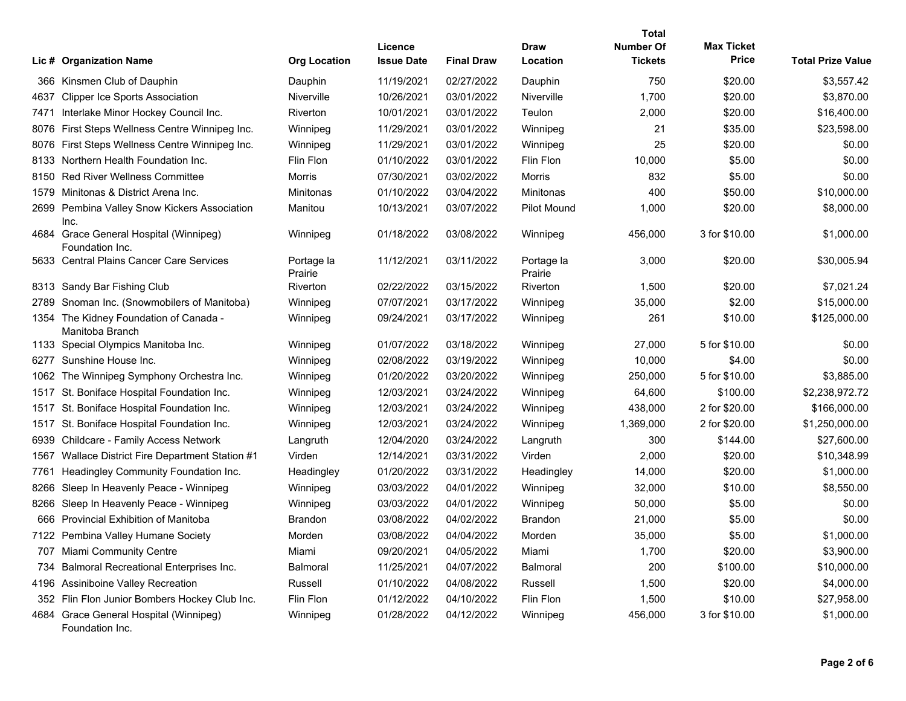|      | Lic # Organization Name                                   | <b>Org Location</b>   | Licence<br><b>Issue Date</b> | <b>Final Draw</b> | <b>Draw</b><br>Location | Total<br><b>Number Of</b><br><b>Tickets</b> | <b>Max Ticket</b><br><b>Price</b> | <b>Total Prize Value</b> |
|------|-----------------------------------------------------------|-----------------------|------------------------------|-------------------|-------------------------|---------------------------------------------|-----------------------------------|--------------------------|
|      | 366 Kinsmen Club of Dauphin                               | Dauphin               | 11/19/2021                   | 02/27/2022        | Dauphin                 | 750                                         | \$20.00                           | \$3,557.42               |
| 4637 | <b>Clipper Ice Sports Association</b>                     | <b>Niverville</b>     | 10/26/2021                   | 03/01/2022        | <b>Niverville</b>       | 1,700                                       | \$20.00                           | \$3,870.00               |
| 7471 | Interlake Minor Hockey Council Inc.                       | Riverton              | 10/01/2021                   | 03/01/2022        | Teulon                  | 2,000                                       | \$20.00                           | \$16,400.00              |
| 8076 | First Steps Wellness Centre Winnipeg Inc.                 | Winnipeg              | 11/29/2021                   | 03/01/2022        | Winnipeg                | 21                                          | \$35.00                           | \$23,598.00              |
| 8076 | First Steps Wellness Centre Winnipeg Inc.                 | Winnipeg              | 11/29/2021                   | 03/01/2022        | Winnipeg                | 25                                          | \$20.00                           | \$0.00                   |
| 8133 | Northern Health Foundation Inc.                           | Flin Flon             | 01/10/2022                   | 03/01/2022        | Flin Flon               | 10,000                                      | \$5.00                            | \$0.00                   |
| 8150 | <b>Red River Wellness Committee</b>                       | <b>Morris</b>         | 07/30/2021                   | 03/02/2022        | Morris                  | 832                                         | \$5.00                            | \$0.00                   |
| 1579 | Minitonas & District Arena Inc.                           | <b>Minitonas</b>      | 01/10/2022                   | 03/04/2022        | Minitonas               | 400                                         | \$50.00                           | \$10,000.00              |
| 2699 | Pembina Valley Snow Kickers Association<br>Inc.           | Manitou               | 10/13/2021                   | 03/07/2022        | <b>Pilot Mound</b>      | 1,000                                       | \$20.00                           | \$8,000.00               |
|      | 4684 Grace General Hospital (Winnipeg)<br>Foundation Inc. | Winnipeg              | 01/18/2022                   | 03/08/2022        | Winnipeg                | 456,000                                     | 3 for \$10.00                     | \$1,000.00               |
|      | 5633 Central Plains Cancer Care Services                  | Portage la<br>Prairie | 11/12/2021                   | 03/11/2022        | Portage la<br>Prairie   | 3,000                                       | \$20.00                           | \$30,005.94              |
|      | 8313 Sandy Bar Fishing Club                               | Riverton              | 02/22/2022                   | 03/15/2022        | Riverton                | 1,500                                       | \$20.00                           | \$7,021.24               |
| 2789 | Snoman Inc. (Snowmobilers of Manitoba)                    | Winnipeg              | 07/07/2021                   | 03/17/2022        | Winnipeg                | 35,000                                      | \$2.00                            | \$15,000.00              |
|      | 1354 The Kidney Foundation of Canada -<br>Manitoba Branch | Winnipeg              | 09/24/2021                   | 03/17/2022        | Winnipeg                | 261                                         | \$10.00                           | \$125,000.00             |
|      | 1133 Special Olympics Manitoba Inc.                       | Winnipeg              | 01/07/2022                   | 03/18/2022        | Winnipeg                | 27,000                                      | 5 for \$10.00                     | \$0.00                   |
| 6277 | Sunshine House Inc.                                       | Winnipeg              | 02/08/2022                   | 03/19/2022        | Winnipeg                | 10,000                                      | \$4.00                            | \$0.00                   |
| 1062 | The Winnipeg Symphony Orchestra Inc.                      | Winnipeg              | 01/20/2022                   | 03/20/2022        | Winnipeg                | 250,000                                     | 5 for \$10.00                     | \$3,885.00               |
| 1517 | St. Boniface Hospital Foundation Inc.                     | Winnipeg              | 12/03/2021                   | 03/24/2022        | Winnipeg                | 64,600                                      | \$100.00                          | \$2,238,972.72           |
| 1517 | St. Boniface Hospital Foundation Inc.                     | Winnipeg              | 12/03/2021                   | 03/24/2022        | Winnipeg                | 438,000                                     | 2 for \$20.00                     | \$166,000.00             |
| 1517 | St. Boniface Hospital Foundation Inc.                     | Winnipeg              | 12/03/2021                   | 03/24/2022        | Winnipeg                | 1,369,000                                   | 2 for \$20.00                     | \$1,250,000.00           |
| 6939 | Childcare - Family Access Network                         | Langruth              | 12/04/2020                   | 03/24/2022        | Langruth                | 300                                         | \$144.00                          | \$27,600.00              |
| 1567 | Wallace District Fire Department Station #1               | Virden                | 12/14/2021                   | 03/31/2022        | Virden                  | 2,000                                       | \$20.00                           | \$10,348.99              |
| 7761 | Headingley Community Foundation Inc.                      | Headingley            | 01/20/2022                   | 03/31/2022        | Headingley              | 14,000                                      | \$20.00                           | \$1,000.00               |
| 8266 | Sleep In Heavenly Peace - Winnipeg                        | Winnipeg              | 03/03/2022                   | 04/01/2022        | Winnipeg                | 32,000                                      | \$10.00                           | \$8,550.00               |
| 8266 | Sleep In Heavenly Peace - Winnipeg                        | Winnipeg              | 03/03/2022                   | 04/01/2022        | Winnipeg                | 50,000                                      | \$5.00                            | \$0.00                   |
| 666  | <b>Provincial Exhibition of Manitoba</b>                  | <b>Brandon</b>        | 03/08/2022                   | 04/02/2022        | <b>Brandon</b>          | 21,000                                      | \$5.00                            | \$0.00                   |
|      | 7122 Pembina Valley Humane Society                        | Morden                | 03/08/2022                   | 04/04/2022        | Morden                  | 35,000                                      | \$5.00                            | \$1,000.00               |
|      | 707 Miami Community Centre                                | Miami                 | 09/20/2021                   | 04/05/2022        | Miami                   | 1,700                                       | \$20.00                           | \$3,900.00               |
| 734  | Balmoral Recreational Enterprises Inc.                    | Balmoral              | 11/25/2021                   | 04/07/2022        | Balmoral                | 200                                         | \$100.00                          | \$10,000.00              |
| 4196 | <b>Assiniboine Valley Recreation</b>                      | Russell               | 01/10/2022                   | 04/08/2022        | Russell                 | 1,500                                       | \$20.00                           | \$4,000.00               |
| 352  | Flin Flon Junior Bombers Hockey Club Inc.                 | Flin Flon             | 01/12/2022                   | 04/10/2022        | Flin Flon               | 1,500                                       | \$10.00                           | \$27,958.00              |
|      | 4684 Grace General Hospital (Winnipeg)<br>Foundation Inc. | Winnipeg              | 01/28/2022                   | 04/12/2022        | Winnipeg                | 456,000                                     | 3 for \$10.00                     | \$1,000.00               |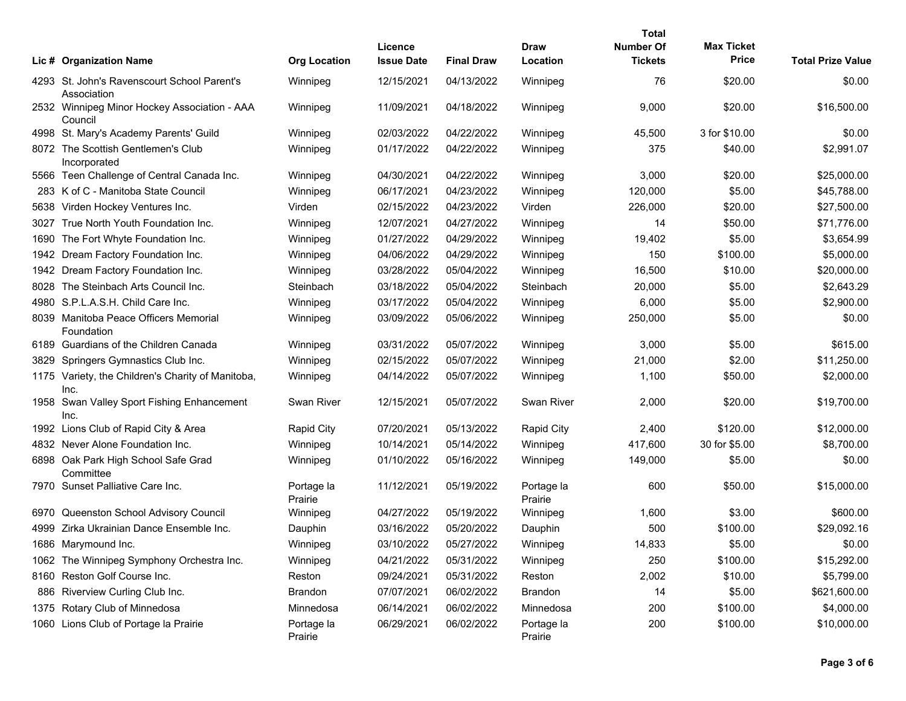|      |                                                            |                       |                              |                   |                       | <b>Total</b>                       |                                   |                          |
|------|------------------------------------------------------------|-----------------------|------------------------------|-------------------|-----------------------|------------------------------------|-----------------------------------|--------------------------|
|      | Lic # Organization Name                                    | <b>Org Location</b>   | Licence<br><b>Issue Date</b> | <b>Final Draw</b> | Draw<br>Location      | <b>Number Of</b><br><b>Tickets</b> | <b>Max Ticket</b><br><b>Price</b> | <b>Total Prize Value</b> |
|      | 4293 St. John's Ravenscourt School Parent's<br>Association | Winnipeg              | 12/15/2021                   | 04/13/2022        | Winnipeg              | 76                                 | \$20.00                           | \$0.00                   |
|      | 2532 Winnipeg Minor Hockey Association - AAA<br>Council    | Winnipeg              | 11/09/2021                   | 04/18/2022        | Winnipeg              | 9,000                              | \$20.00                           | \$16,500.00              |
|      | 4998 St. Mary's Academy Parents' Guild                     | Winnipeg              | 02/03/2022                   | 04/22/2022        | Winnipeg              | 45,500                             | 3 for \$10.00                     | \$0.00                   |
|      | 8072 The Scottish Gentlemen's Club<br>Incorporated         | Winnipeg              | 01/17/2022                   | 04/22/2022        | Winnipeg              | 375                                | \$40.00                           | \$2,991.07               |
|      | 5566 Teen Challenge of Central Canada Inc.                 | Winnipeg              | 04/30/2021                   | 04/22/2022        | Winnipeg              | 3,000                              | \$20.00                           | \$25,000.00              |
|      | 283 K of C - Manitoba State Council                        | Winnipeg              | 06/17/2021                   | 04/23/2022        | Winnipeg              | 120,000                            | \$5.00                            | \$45,788.00              |
|      | 5638 Virden Hockey Ventures Inc.                           | Virden                | 02/15/2022                   | 04/23/2022        | Virden                | 226,000                            | \$20.00                           | \$27,500.00              |
|      | 3027 True North Youth Foundation Inc.                      | Winnipeg              | 12/07/2021                   | 04/27/2022        | Winnipeg              | 14                                 | \$50.00                           | \$71,776.00              |
|      | 1690 The Fort Whyte Foundation Inc.                        | Winnipeg              | 01/27/2022                   | 04/29/2022        | Winnipeg              | 19,402                             | \$5.00                            | \$3,654.99               |
|      | 1942 Dream Factory Foundation Inc.                         | Winnipeg              | 04/06/2022                   | 04/29/2022        | Winnipeg              | 150                                | \$100.00                          | \$5,000.00               |
|      | 1942 Dream Factory Foundation Inc.                         | Winnipeg              | 03/28/2022                   | 05/04/2022        | Winnipeg              | 16,500                             | \$10.00                           | \$20,000.00              |
|      | 8028 The Steinbach Arts Council Inc.                       | Steinbach             | 03/18/2022                   | 05/04/2022        | Steinbach             | 20,000                             | \$5.00                            | \$2,643.29               |
|      | 4980 S.P.L.A.S.H. Child Care Inc.                          | Winnipeg              | 03/17/2022                   | 05/04/2022        | Winnipeg              | 6,000                              | \$5.00                            | \$2,900.00               |
|      | 8039 Manitoba Peace Officers Memorial<br>Foundation        | Winnipeg              | 03/09/2022                   | 05/06/2022        | Winnipeg              | 250,000                            | \$5.00                            | \$0.00                   |
|      | 6189 Guardians of the Children Canada                      | Winnipeg              | 03/31/2022                   | 05/07/2022        | Winnipeg              | 3,000                              | \$5.00                            | \$615.00                 |
|      | 3829 Springers Gymnastics Club Inc.                        | Winnipeg              | 02/15/2022                   | 05/07/2022        | Winnipeg              | 21,000                             | \$2.00                            | \$11,250.00              |
|      | 1175 Variety, the Children's Charity of Manitoba,<br>Inc.  | Winnipeg              | 04/14/2022                   | 05/07/2022        | Winnipeg              | 1,100                              | \$50.00                           | \$2,000.00               |
|      | 1958 Swan Valley Sport Fishing Enhancement<br>Inc.         | <b>Swan River</b>     | 12/15/2021                   | 05/07/2022        | Swan River            | 2,000                              | \$20.00                           | \$19,700.00              |
|      | 1992 Lions Club of Rapid City & Area                       | <b>Rapid City</b>     | 07/20/2021                   | 05/13/2022        | <b>Rapid City</b>     | 2,400                              | \$120.00                          | \$12,000.00              |
|      | 4832 Never Alone Foundation Inc.                           | Winnipeg              | 10/14/2021                   | 05/14/2022        | Winnipeg              | 417,600                            | 30 for \$5.00                     | \$8,700.00               |
|      | 6898 Oak Park High School Safe Grad<br>Committee           | Winnipeg              | 01/10/2022                   | 05/16/2022        | Winnipeg              | 149,000                            | \$5.00                            | \$0.00                   |
|      | 7970 Sunset Palliative Care Inc.                           | Portage la<br>Prairie | 11/12/2021                   | 05/19/2022        | Portage la<br>Prairie | 600                                | \$50.00                           | \$15,000.00              |
|      | 6970 Queenston School Advisory Council                     | Winnipeg              | 04/27/2022                   | 05/19/2022        | Winnipeg              | 1,600                              | \$3.00                            | \$600.00                 |
|      | 4999 Zirka Ukrainian Dance Ensemble Inc.                   | Dauphin               | 03/16/2022                   | 05/20/2022        | Dauphin               | 500                                | \$100.00                          | \$29,092.16              |
|      | 1686 Marymound Inc.                                        | Winnipeg              | 03/10/2022                   | 05/27/2022        | Winnipeg              | 14,833                             | \$5.00                            | \$0.00                   |
|      | 1062 The Winnipeg Symphony Orchestra Inc.                  | Winnipeg              | 04/21/2022                   | 05/31/2022        | Winnipeg              | 250                                | \$100.00                          | \$15,292.00              |
|      | 8160 Reston Golf Course Inc.                               | Reston                | 09/24/2021                   | 05/31/2022        | Reston                | 2,002                              | \$10.00                           | \$5,799.00               |
| 886  | Riverview Curling Club Inc.                                | <b>Brandon</b>        | 07/07/2021                   | 06/02/2022        | <b>Brandon</b>        | 14                                 | \$5.00                            | \$621,600.00             |
|      | 1375 Rotary Club of Minnedosa                              | Minnedosa             | 06/14/2021                   | 06/02/2022        | Minnedosa             | 200                                | \$100.00                          | \$4,000.00               |
| 1060 | Lions Club of Portage la Prairie                           | Portage la<br>Prairie | 06/29/2021                   | 06/02/2022        | Portage la<br>Prairie | 200                                | \$100.00                          | \$10,000.00              |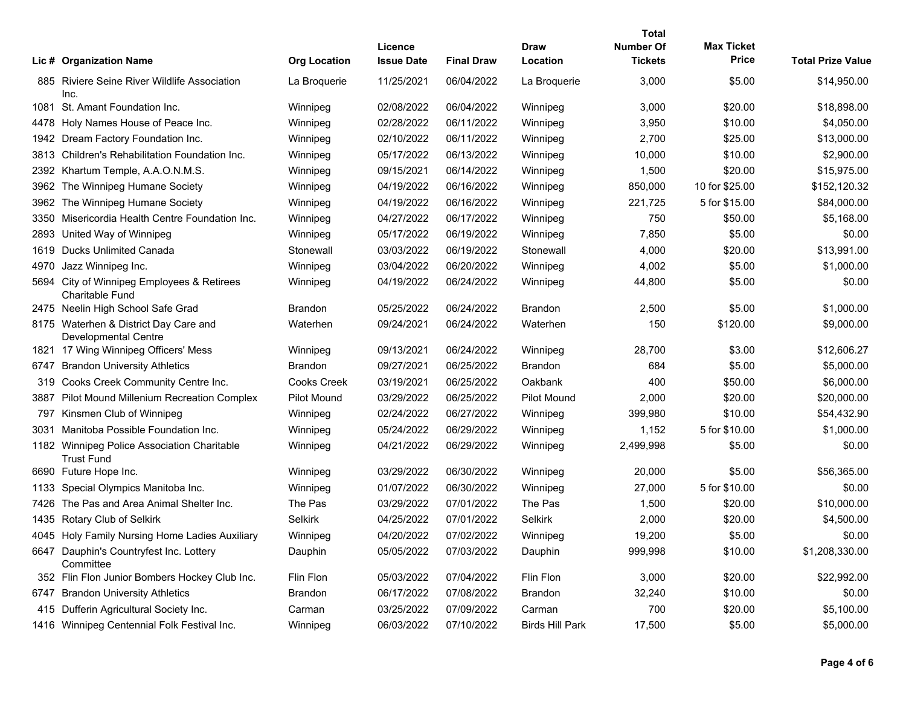|      |                                                                      |                     |                              |                   |                         | Total                              |                                   |                          |
|------|----------------------------------------------------------------------|---------------------|------------------------------|-------------------|-------------------------|------------------------------------|-----------------------------------|--------------------------|
|      | Lic # Organization Name                                              | <b>Org Location</b> | Licence<br><b>Issue Date</b> | <b>Final Draw</b> | <b>Draw</b><br>Location | <b>Number Of</b><br><b>Tickets</b> | <b>Max Ticket</b><br><b>Price</b> | <b>Total Prize Value</b> |
|      | 885 Riviere Seine River Wildlife Association<br>Inc.                 | La Broquerie        | 11/25/2021                   | 06/04/2022        | La Broquerie            | 3,000                              | \$5.00                            | \$14,950.00              |
|      | 1081 St. Amant Foundation Inc.                                       | Winnipeg            | 02/08/2022                   | 06/04/2022        | Winnipeg                | 3,000                              | \$20.00                           | \$18,898.00              |
| 4478 | Holy Names House of Peace Inc.                                       | Winnipeg            | 02/28/2022                   | 06/11/2022        | Winnipeg                | 3,950                              | \$10.00                           | \$4,050.00               |
| 1942 | Dream Factory Foundation Inc.                                        | Winnipeg            | 02/10/2022                   | 06/11/2022        | Winnipeg                | 2,700                              | \$25.00                           | \$13,000.00              |
| 3813 | Children's Rehabilitation Foundation Inc.                            | Winnipeg            | 05/17/2022                   | 06/13/2022        | Winnipeg                | 10,000                             | \$10.00                           | \$2,900.00               |
|      | 2392 Khartum Temple, A.A.O.N.M.S.                                    | Winnipeg            | 09/15/2021                   | 06/14/2022        | Winnipeg                | 1,500                              | \$20.00                           | \$15,975.00              |
| 3962 | The Winnipeg Humane Society                                          | Winnipeg            | 04/19/2022                   | 06/16/2022        | Winnipeg                | 850,000                            | 10 for \$25.00                    | \$152,120.32             |
| 3962 | The Winnipeg Humane Society                                          | Winnipeg            | 04/19/2022                   | 06/16/2022        | Winnipeg                | 221,725                            | 5 for \$15.00                     | \$84,000.00              |
| 3350 | Misericordia Health Centre Foundation Inc.                           | Winnipeg            | 04/27/2022                   | 06/17/2022        | Winnipeg                | 750                                | \$50.00                           | \$5,168.00               |
| 2893 | United Way of Winnipeg                                               | Winnipeg            | 05/17/2022                   | 06/19/2022        | Winnipeg                | 7,850                              | \$5.00                            | \$0.00                   |
| 1619 | Ducks Unlimited Canada                                               | Stonewall           | 03/03/2022                   | 06/19/2022        | Stonewall               | 4,000                              | \$20.00                           | \$13,991.00              |
| 4970 | Jazz Winnipeg Inc.                                                   | Winnipeg            | 03/04/2022                   | 06/20/2022        | Winnipeg                | 4,002                              | \$5.00                            | \$1,000.00               |
|      | 5694 City of Winnipeg Employees & Retirees<br><b>Charitable Fund</b> | Winnipeg            | 04/19/2022                   | 06/24/2022        | Winnipeg                | 44,800                             | \$5.00                            | \$0.00                   |
|      | 2475 Neelin High School Safe Grad                                    | <b>Brandon</b>      | 05/25/2022                   | 06/24/2022        | <b>Brandon</b>          | 2,500                              | \$5.00                            | \$1,000.00               |
|      | 8175 Waterhen & District Day Care and<br><b>Developmental Centre</b> | Waterhen            | 09/24/2021                   | 06/24/2022        | Waterhen                | 150                                | \$120.00                          | \$9,000.00               |
|      | 1821 17 Wing Winnipeg Officers' Mess                                 | Winnipeg            | 09/13/2021                   | 06/24/2022        | Winnipeg                | 28,700                             | \$3.00                            | \$12,606.27              |
| 6747 | <b>Brandon University Athletics</b>                                  | <b>Brandon</b>      | 09/27/2021                   | 06/25/2022        | <b>Brandon</b>          | 684                                | \$5.00                            | \$5,000.00               |
| 319  | Cooks Creek Community Centre Inc.                                    | <b>Cooks Creek</b>  | 03/19/2021                   | 06/25/2022        | Oakbank                 | 400                                | \$50.00                           | \$6,000.00               |
| 3887 | Pilot Mound Millenium Recreation Complex                             | <b>Pilot Mound</b>  | 03/29/2022                   | 06/25/2022        | <b>Pilot Mound</b>      | 2,000                              | \$20.00                           | \$20,000.00              |
| 797  | Kinsmen Club of Winnipeg                                             | Winnipeg            | 02/24/2022                   | 06/27/2022        | Winnipeg                | 399,980                            | \$10.00                           | \$54,432.90              |
| 3031 | Manitoba Possible Foundation Inc.                                    | Winnipeg            | 05/24/2022                   | 06/29/2022        | Winnipeg                | 1,152                              | 5 for \$10.00                     | \$1,000.00               |
|      | 1182 Winnipeg Police Association Charitable<br><b>Trust Fund</b>     | Winnipeg            | 04/21/2022                   | 06/29/2022        | Winnipeg                | 2,499,998                          | \$5.00                            | \$0.00                   |
|      | 6690 Future Hope Inc.                                                | Winnipeg            | 03/29/2022                   | 06/30/2022        | Winnipeg                | 20,000                             | \$5.00                            | \$56,365.00              |
| 1133 | Special Olympics Manitoba Inc.                                       | Winnipeg            | 01/07/2022                   | 06/30/2022        | Winnipeg                | 27,000                             | 5 for \$10.00                     | \$0.00                   |
| 7426 | The Pas and Area Animal Shelter Inc.                                 | The Pas             | 03/29/2022                   | 07/01/2022        | The Pas                 | 1,500                              | \$20.00                           | \$10,000.00              |
| 1435 | <b>Rotary Club of Selkirk</b>                                        | Selkirk             | 04/25/2022                   | 07/01/2022        | Selkirk                 | 2,000                              | \$20.00                           | \$4,500.00               |
|      | 4045 Holy Family Nursing Home Ladies Auxiliary                       | Winnipeg            | 04/20/2022                   | 07/02/2022        | Winnipeg                | 19,200                             | \$5.00                            | \$0.00                   |
|      | 6647 Dauphin's Countryfest Inc. Lottery<br>Committee                 | Dauphin             | 05/05/2022                   | 07/03/2022        | Dauphin                 | 999,998                            | \$10.00                           | \$1,208,330.00           |
|      | 352 Flin Flon Junior Bombers Hockey Club Inc.                        | Flin Flon           | 05/03/2022                   | 07/04/2022        | Flin Flon               | 3,000                              | \$20.00                           | \$22,992.00              |
| 6747 | <b>Brandon University Athletics</b>                                  | <b>Brandon</b>      | 06/17/2022                   | 07/08/2022        | <b>Brandon</b>          | 32,240                             | \$10.00                           | \$0.00                   |
|      | 415 Dufferin Agricultural Society Inc.                               | Carman              | 03/25/2022                   | 07/09/2022        | Carman                  | 700                                | \$20.00                           | \$5,100.00               |
|      | 1416 Winnipeg Centennial Folk Festival Inc.                          | Winnipeg            | 06/03/2022                   | 07/10/2022        | <b>Birds Hill Park</b>  | 17,500                             | \$5.00                            | \$5,000.00               |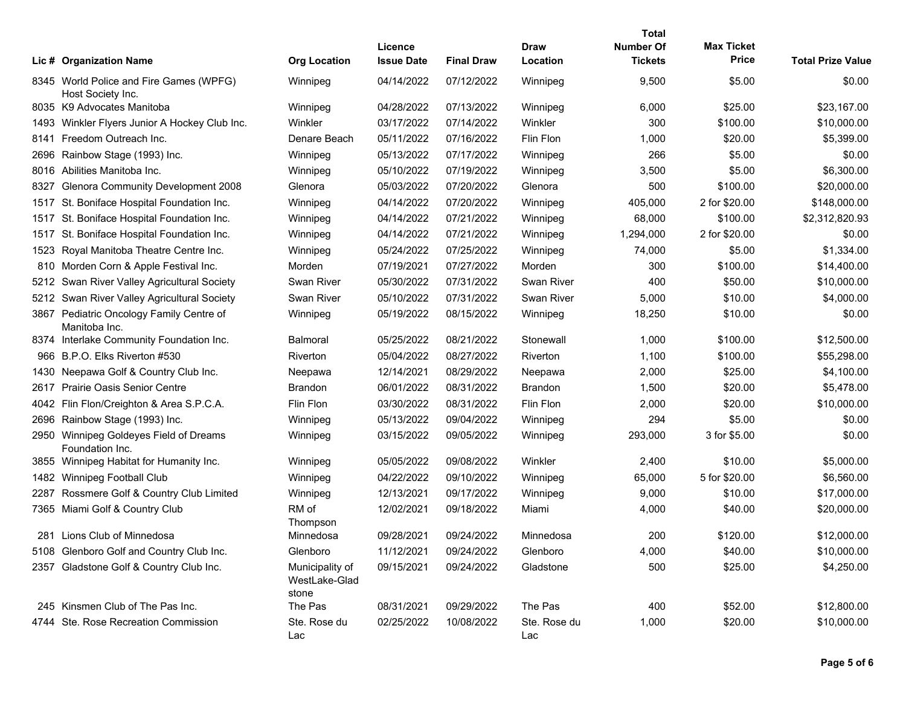|      |                                                              |                                           | Licence           |                   | Draw                | Total<br>Number Of | <b>Max Ticket</b> |                          |
|------|--------------------------------------------------------------|-------------------------------------------|-------------------|-------------------|---------------------|--------------------|-------------------|--------------------------|
|      | Lic # Organization Name                                      | <b>Org Location</b>                       | <b>Issue Date</b> | <b>Final Draw</b> | Location            | <b>Tickets</b>     | <b>Price</b>      | <b>Total Prize Value</b> |
|      | 8345 World Police and Fire Games (WPFG)<br>Host Society Inc. | Winnipeg                                  | 04/14/2022        | 07/12/2022        | Winnipeg            | 9,500              | \$5.00            | \$0.00                   |
|      | 8035 K9 Advocates Manitoba                                   | Winnipeg                                  | 04/28/2022        | 07/13/2022        | Winnipeg            | 6,000              | \$25.00           | \$23,167.00              |
| 1493 | Winkler Flyers Junior A Hockey Club Inc.                     | Winkler                                   | 03/17/2022        | 07/14/2022        | Winkler             | 300                | \$100.00          | \$10,000.00              |
| 8141 | Freedom Outreach Inc.                                        | Denare Beach                              | 05/11/2022        | 07/16/2022        | Flin Flon           | 1,000              | \$20.00           | \$5,399.00               |
| 2696 | Rainbow Stage (1993) Inc.                                    | Winnipeg                                  | 05/13/2022        | 07/17/2022        | Winnipeg            | 266                | \$5.00            | \$0.00                   |
| 8016 | Abilities Manitoba Inc.                                      | Winnipeg                                  | 05/10/2022        | 07/19/2022        | Winnipeg            | 3,500              | \$5.00            | \$6,300.00               |
| 8327 | Glenora Community Development 2008                           | Glenora                                   | 05/03/2022        | 07/20/2022        | Glenora             | 500                | \$100.00          | \$20,000.00              |
| 1517 | St. Boniface Hospital Foundation Inc.                        | Winnipeg                                  | 04/14/2022        | 07/20/2022        | Winnipeg            | 405,000            | 2 for \$20.00     | \$148,000.00             |
| 1517 | St. Boniface Hospital Foundation Inc.                        | Winnipeg                                  | 04/14/2022        | 07/21/2022        | Winnipeg            | 68,000             | \$100.00          | \$2,312,820.93           |
| 1517 | St. Boniface Hospital Foundation Inc.                        | Winnipeg                                  | 04/14/2022        | 07/21/2022        | Winnipeg            | 1,294,000          | 2 for \$20.00     | \$0.00                   |
| 1523 | Royal Manitoba Theatre Centre Inc.                           | Winnipeg                                  | 05/24/2022        | 07/25/2022        | Winnipeg            | 74,000             | \$5.00            | \$1,334.00               |
| 810  | Morden Corn & Apple Festival Inc.                            | Morden                                    | 07/19/2021        | 07/27/2022        | Morden              | 300                | \$100.00          | \$14,400.00              |
| 5212 | Swan River Valley Agricultural Society                       | <b>Swan River</b>                         | 05/30/2022        | 07/31/2022        | Swan River          | 400                | \$50.00           | \$10,000.00              |
| 5212 | Swan River Valley Agricultural Society                       | Swan River                                | 05/10/2022        | 07/31/2022        | <b>Swan River</b>   | 5,000              | \$10.00           | \$4,000.00               |
| 3867 | Pediatric Oncology Family Centre of<br>Manitoba Inc.         | Winnipeg                                  | 05/19/2022        | 08/15/2022        | Winnipeg            | 18,250             | \$10.00           | \$0.00                   |
|      | 8374 Interlake Community Foundation Inc.                     | <b>Balmoral</b>                           | 05/25/2022        | 08/21/2022        | Stonewall           | 1,000              | \$100.00          | \$12,500.00              |
| 966  | B.P.O. Elks Riverton #530                                    | <b>Riverton</b>                           | 05/04/2022        | 08/27/2022        | Riverton            | 1,100              | \$100.00          | \$55,298.00              |
| 1430 | Neepawa Golf & Country Club Inc.                             | Neepawa                                   | 12/14/2021        | 08/29/2022        | Neepawa             | 2,000              | \$25.00           | \$4,100.00               |
| 2617 | <b>Prairie Oasis Senior Centre</b>                           | <b>Brandon</b>                            | 06/01/2022        | 08/31/2022        | <b>Brandon</b>      | 1,500              | \$20.00           | \$5,478.00               |
| 4042 | Flin Flon/Creighton & Area S.P.C.A.                          | Flin Flon                                 | 03/30/2022        | 08/31/2022        | Flin Flon           | 2,000              | \$20.00           | \$10,000.00              |
| 2696 | Rainbow Stage (1993) Inc.                                    | Winnipeg                                  | 05/13/2022        | 09/04/2022        | Winnipeg            | 294                | \$5.00            | \$0.00                   |
| 2950 | Winnipeg Goldeyes Field of Dreams<br>Foundation Inc.         | Winnipeg                                  | 03/15/2022        | 09/05/2022        | Winnipeg            | 293,000            | 3 for \$5.00      | \$0.00                   |
|      | 3855 Winnipeg Habitat for Humanity Inc.                      | Winnipeg                                  | 05/05/2022        | 09/08/2022        | Winkler             | 2,400              | \$10.00           | \$5,000.00               |
| 1482 | <b>Winnipeg Football Club</b>                                | Winnipeg                                  | 04/22/2022        | 09/10/2022        | Winnipeg            | 65,000             | 5 for \$20.00     | \$6,560.00               |
| 2287 | Rossmere Golf & Country Club Limited                         | Winnipeg                                  | 12/13/2021        | 09/17/2022        | Winnipeg            | 9,000              | \$10.00           | \$17,000.00              |
| 7365 | Miami Golf & Country Club                                    | RM of<br>Thompson                         | 12/02/2021        | 09/18/2022        | Miami               | 4,000              | \$40.00           | \$20,000.00              |
|      | 281 Lions Club of Minnedosa                                  | Minnedosa                                 | 09/28/2021        | 09/24/2022        | Minnedosa           | 200                | \$120.00          | \$12,000.00              |
|      | 5108 Glenboro Golf and Country Club Inc.                     | Glenboro                                  | 11/12/2021        | 09/24/2022        | Glenboro            | 4,000              | \$40.00           | \$10,000.00              |
|      | 2357 Gladstone Golf & Country Club Inc.                      | Municipality of<br>WestLake-Glad<br>stone | 09/15/2021        | 09/24/2022        | Gladstone           | 500                | \$25.00           | \$4,250.00               |
|      | 245 Kinsmen Club of The Pas Inc.                             | The Pas                                   | 08/31/2021        | 09/29/2022        | The Pas             | 400                | \$52.00           | \$12,800.00              |
|      | 4744 Ste. Rose Recreation Commission                         | Ste. Rose du<br>Lac                       | 02/25/2022        | 10/08/2022        | Ste. Rose du<br>Lac | 1,000              | \$20.00           | \$10,000.00              |